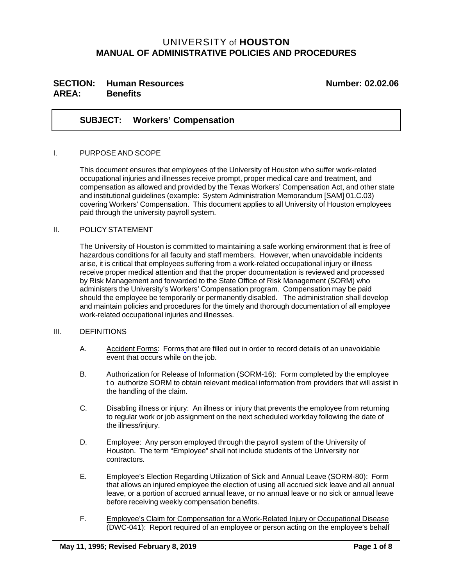# UNIVERSITY of **HOUSTON MANUAL OF ADMINISTRATIVE POLICIES AND PROCEDURES**

# SECTION: Human Resources Number: 02.02.06 **AREA: Benefits**

### **SUBJECT: Workers' Compensation**

#### I. PURPOSE AND SCOPE

This document ensures that employees of the University of Houston who suffer work-related occupational injuries and illnesses receive prompt, proper medical care and treatment, and compensation as allowed and provided by the Texas Workers' Compensation Act, and other state and institutional guidelines (example: System Administration Memorandum [SAM] 01.C.03) covering Workers' Compensation. This document applies to all University of Houston employees paid through the university payroll system.

#### II. POLICY STATEMENT

The University of Houston is committed to maintaining a safe working environment that is free of hazardous conditions for all faculty and staff members. However, when unavoidable incidents arise, it is critical that employees suffering from a work-related occupational injury or illness receive proper medical attention and that the proper documentation is reviewed and processed by Risk Management and forwarded to the State Office of Risk Management (SORM) who administers the University's Workers' Compensation program. Compensation may be paid should the employee be temporarily or permanently disabled. The administration shall develop and maintain policies and procedures for the timely and thorough documentation of all employee work-related occupational injuries and illnesses.

#### III. DEFINITIONS

- A. Accident Forms: Forms that are filled out in order to record details of an unavoidable event that occurs while on the job.
- B. Authorization for Release of Information (SORM-16): Form completed by the employee t o authorize SORM to obtain relevant medical information from providers that will assist in the handling of the claim.
- C. Disabling illness or injury: An illness or injury that prevents the employee from returning to regular work or job assignment on the next scheduled workday following the date of the illness/injury.
- D. Employee: Any person employed through the payroll system of the University of Houston. The term "Employee" shall not include students of the University nor contractors.
- E. Employee's Election Regarding Utilization of Sick and Annual Leave (SORM-80): Form that allows an injured employee the election of using all accrued sick leave and all annual leave, or a portion of accrued annual leave, or no annual leave or no sick or annual leave before receiving weekly compensation benefits.
- F. Employee's Claim for Compensation for a W ork-Related Injury or Occupational Disease (DWC-041): Report required of an employee or person acting on the employee's behalf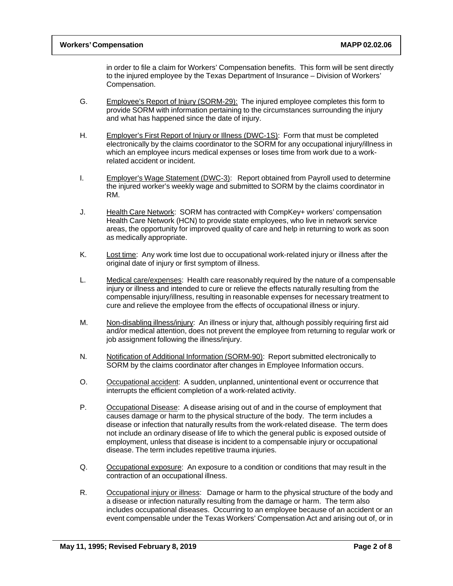in order to file a claim for Workers' Compensation benefits. This form will be sent directly to the injured employee by the Texas Department of Insurance – Division of Workers' Compensation.

- G. Employee's Report of Injury (SORM-29): The injured employee completes this form to provide SORM with information pertaining to the circumstances surrounding the injury and what has happened since the date of injury.
- H. Employer's First Report of Injury or Illness (DWC-1S): Form that must be completed electronically by the claims coordinator to the SORM for any occupational injury/illness in which an employee incurs medical expenses or loses time from work due to a workrelated accident or incident.
- I. Employer's Wage Statement (DWC-3): Report obtained from Payroll used to determine the injured worker's weekly wage and submitted to SORM by the claims coordinator in RM.
- J. Health Care Network: SORM has contracted with CompKey+ workers' compensation Health Care Network (HCN) to provide state employees, who live in network service areas, the opportunity for improved quality of care and help in returning to work as soon as medically appropriate.
- K. Lost time: Any work time lost due to occupational work-related injury or illness after the original date of injury or first symptom of illness.
- L. Medical care/expenses: Health care reasonably required by the nature of a compensable injury or illness and intended to cure or relieve the effects naturally resulting from the compensable injury/illness, resulting in reasonable expenses for necessary treatment to cure and relieve the employee from the effects of occupational illness or injury.
- M. Non-disabling illness/injury: An illness or injury that, although possibly requiring first aid and/or medical attention, does not prevent the employee from returning to regular work or job assignment following the illness/injury.
- N. Notification of Additional Information (SORM-90): Report submitted electronically to SORM by the claims coordinator after changes in Employee Information occurs.
- O. Occupational accident: A sudden, unplanned, unintentional event or occurrence that interrupts the efficient completion of a work-related activity.
- P. Occupational Disease: A disease arising out of and in the course of employment that causes damage or harm to the physical structure of the body. The term includes a disease or infection that naturally results from the work-related disease. The term does not include an ordinary disease of life to which the general public is exposed outside of employment, unless that disease is incident to a compensable injury or occupational disease. The term includes repetitive trauma injuries.
- Q. Occupational exposure: An exposure to a condition or conditions that may result in the contraction of an occupational illness.
- R. Occupational injury or illness: Damage or harm to the physical structure of the body and a disease or infection naturally resulting from the damage or harm. The term also includes occupational diseases. Occurring to an employee because of an accident or an event compensable under the Texas Workers' Compensation Act and arising out of, or in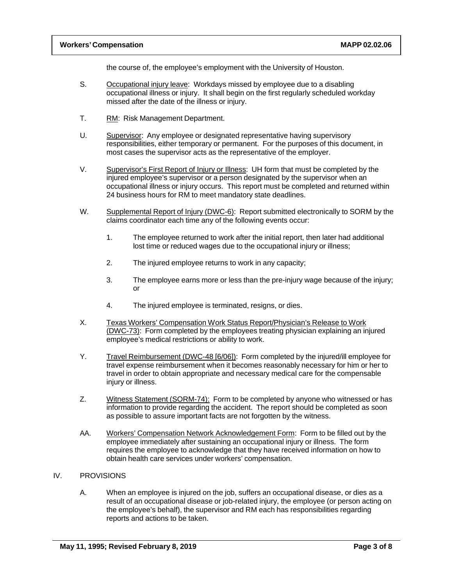the course of, the employee's employment with the University of Houston.

- S. Occupational injury leave: Workdays missed by employee due to a disabling occupational illness or injury. It shall begin on the first regularly scheduled workday missed after the date of the illness or injury.
- T. RM: Risk Management Department.
- U. Supervisor: Any employee or designated representative having supervisory responsibilities, either temporary or permanent. For the purposes of this document, in most cases the supervisor acts as the representative of the employer.
- V. Supervisor's First Report of Injury or Illness: UH form that must be completed by the injured employee's supervisor or a person designated by the supervisor when an occupational illness or injury occurs. This report must be completed and returned within 24 business hours for RM to meet mandatory state deadlines.
- W. Supplemental Report of Injury (DWC-6): Report submitted electronically to SORM by the claims coordinator each time any of the following events occur:
	- 1. The employee returned to work after the initial report, then later had additional lost time or reduced wages due to the occupational injury or illness;
	- 2. The injured employee returns to work in any capacity;
	- 3. The employee earns more or less than the pre-injury wage because of the injury; or
	- 4. The injured employee is terminated, resigns, or dies.
- X. Texas Workers' Compensation Work Status Report/Physician's Release to Work (DW C-73): Form completed by the employees treating physician explaining an injured employee's medical restrictions or ability to work.
- Y. Travel Reimbursement (DWC-48 [6/06]): Form completed by the injured/ill employee for travel expense reimbursement when it becomes reasonably necessary for him or her to travel in order to obtain appropriate and necessary medical care for the compensable injury or illness.
- Z. Witness Statement (SORM-74): Form to be completed by anyone who witnessed or has information to provide regarding the accident. The report should be completed as soon as possible to assure important facts are not forgotten by the witness.
- AA. Workers' Compensation Network Acknowledgement Form: Form to be filled out by the employee immediately after sustaining an occupational injury or illness. The form requires the employee to acknowledge that they have received information on how to obtain health care services under workers' compensation.

#### IV. PROVISIONS

A. When an employee is injured on the job, suffers an occupational disease, or dies as a result of an occupational disease or job-related injury, the employee (or person acting on the employee's behalf), the supervisor and RM each has responsibilities regarding reports and actions to be taken.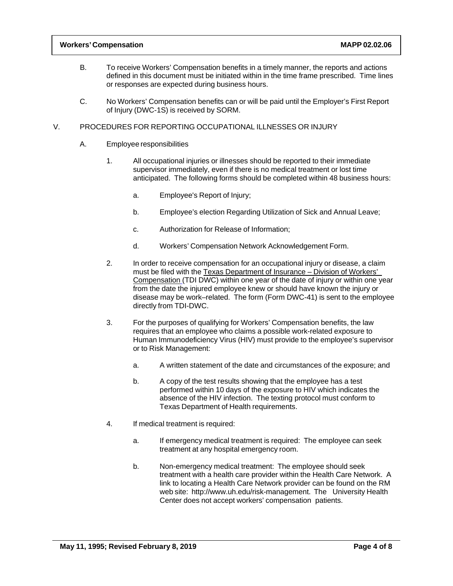### **Workers' Compensation MAPP 02.02.06**

- B. To receive Workers' Compensation benefits in a timely manner, the reports and actions defined in this document must be initiated within in the time frame prescribed. Time lines or responses are expected during business hours.
- C. No Workers' Compensation benefits can or will be paid until the Employer's First Report of Injury (DWC-1S) is received by SORM.

### V. PROCEDURES FOR REPORTING OCCUPATIONAL ILLNESSES OR INJURY

- A. Employee responsibilities
	- 1. All occupational injuries or illnesses should be reported to their immediate supervisor immediately, even if there is no medical treatment or lost time anticipated. The following forms should be completed within 48 business hours:
		- a. Employee's Report of Injury;
		- b. Employee's election Regarding Utilization of Sick and Annual Leave;
		- c. Authorization for Release of Information;
		- d. Workers' Compensation Network Acknowledgement Form.
	- 2. In order to receive compensation for an occupational injury or disease, a claim must be filed with the Texas Department of Insurance – Division of Workers' Compensation (TDI DWC) within one year of the date of injury or within one year from the date the injured employee knew or should have known the injury or disease may be work–related. The form (Form DWC-41) is sent to the employee directly from TDI-DWC.
	- 3. For the purposes of qualifying for Workers' Compensation benefits, the law requires that an employee who claims a possible work-related exposure to Human Immunodeficiency Virus (HIV) must provide to the employee's supervisor or to Risk Management:
		- a. A written statement of the date and circumstances of the exposure; and
		- b. A copy of the test results showing that the employee has a test performed within 10 days of the exposure to HIV which indicates the absence of the HIV infection. The texting protocol must conform to Texas Department of Health requirements.
	- 4. If medical treatment is required:
		- a. If emergency medical treatment is required: The employee can seek treatment at any hospital emergency room.
		- b. Non-emergency medical treatment: The employee should seek treatment with a health care provider within the Health Care Network. A link to locating a Health Care Network provider can be found on the RM web site: http://www.uh.edu/risk-management. The University Health Center does not accept workers' compensation patients.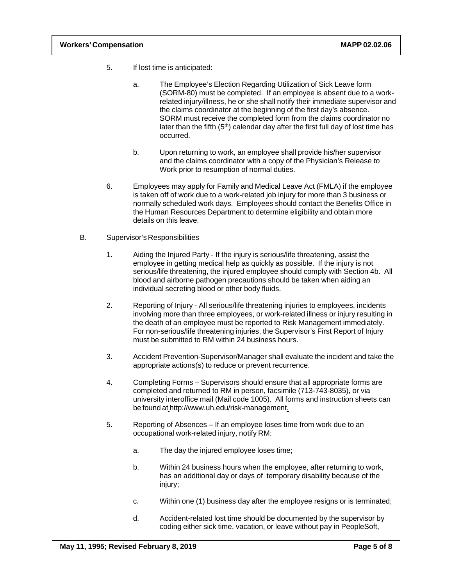- 5. If lost time is anticipated:
	- a. The Employee's Election Regarding Utilization of Sick Leave form (SORM-80) must be completed. If an employee is absent due to a workrelated injury/illness, he or she shall notify their immediate supervisor and the claims coordinator at the beginning of the first day's absence. SORM must receive the completed form from the claims coordinator no later than the fifth  $(5<sup>th</sup>)$  calendar day after the first full day of lost time has occurred.
	- b. Upon returning to work, an employee shall provide his/her supervisor and the claims coordinator with a copy of the Physician's Release to Work prior to resumption of normal duties.
- 6. Employees may apply for Family and Medical Leave Act (FMLA) if the employee is taken off of work due to a work-related job injury for more than 3 business or normally scheduled work days. Employees should contact the Benefits Office in the Human Resources Department to determine eligibility and obtain more details on this leave.
- B. Supervisor's Responsibilities
	- 1. Aiding the Injured Party If the injury is serious/life threatening, assist the employee in getting medical help as quickly as possible. If the injury is not serious/life threatening, the injured employee should comply with Section 4b. All blood and airborne pathogen precautions should be taken when aiding an individual secreting blood or other body fluids.
	- 2. Reporting of Injury All serious/life threatening injuries to employees, incidents involving more than three employees, or work-related illness or injury resulting in the death of an employee must be reported to Risk Management immediately. For non-serious/life threatening injuries, the Supervisor's First Report of Injury must be submitted to RM within 24 business hours.
	- 3. Accident Prevention-Supervisor/Manager shall evaluate the incident and take the appropriate actions(s) to reduce or prevent recurrence.
	- 4. Completing Forms Supervisors should ensure that all appropriate forms are completed and returned to RM in person, facsimile (713-743-8035), or via university interoffice mail (Mail code 1005). All forms and instruction sheets can be found at http://www.uh.edu/risk-management.
	- 5. Reporting of Absences If an employee loses time from work due to an occupational work-related injury, notify RM:
		- a. The day the injured employee loses time;
		- b. Within 24 business hours when the employee, after returning to work, has an additional day or days of temporary disability because of the injury;
		- c. Within one (1) business day after the employee resigns or is terminated;
		- d. Accident-related lost time should be documented by the supervisor by coding either sick time, vacation, or leave without pay in PeopleSoft,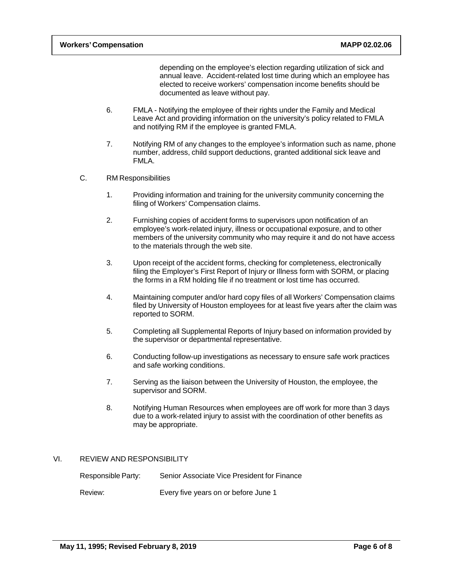depending on the employee's election regarding utilization of sick and annual leave. Accident-related lost time during which an employee has elected to receive workers' compensation income benefits should be documented as leave without pay.

- 6. FMLA Notifying the employee of their rights under the Family and Medical Leave Act and providing information on the university's policy related to FMLA and notifying RM if the employee is granted FMLA.
- 7. Notifying RM of any changes to the employee's information such as name, phone number, address, child support deductions, granted additional sick leave and FMLA.
- C. RM Responsibilities
	- 1. Providing information and training for the university community concerning the filing of Workers' Compensation claims.
	- 2. Furnishing copies of accident forms to supervisors upon notification of an employee's work-related injury, illness or occupational exposure, and to other members of the university community who may require it and do not have access to the materials through the web site.
	- 3. Upon receipt of the accident forms, checking for completeness, electronically filing the Employer's First Report of Injury or Illness form with SORM, or placing the forms in a RM holding file if no treatment or lost time has occurred.
	- 4. Maintaining computer and/or hard copy files of all Workers' Compensation claims filed by University of Houston employees for at least five years after the claim was reported to SORM.
	- 5. Completing all Supplemental Reports of Injury based on information provided by the supervisor or departmental representative.
	- 6. Conducting follow-up investigations as necessary to ensure safe work practices and safe working conditions.
	- 7. Serving as the liaison between the University of Houston, the employee, the supervisor and SORM.
	- 8. Notifying Human Resources when employees are off work for more than 3 days due to a work-related injury to assist with the coordination of other benefits as may be appropriate.

#### VI. REVIEW AND RESPONSIBILITY

| Responsible Party: | Senior Associate Vice President for Finance |
|--------------------|---------------------------------------------|
| Review:            | Every five years on or before June 1        |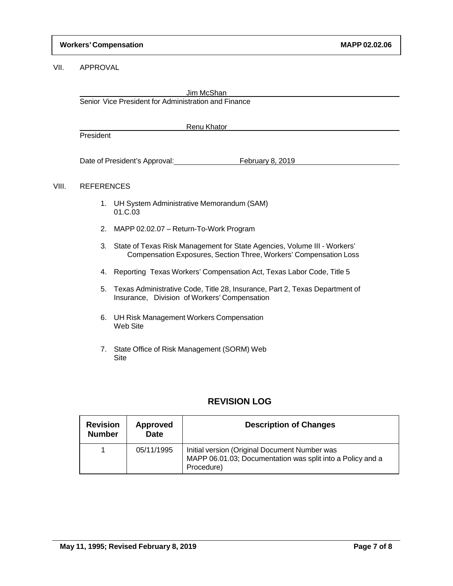### VII. APPROVAL

|       | Jim McShan<br>Senior Vice President for Administration and Finance |                                                                                                                      |  |
|-------|--------------------------------------------------------------------|----------------------------------------------------------------------------------------------------------------------|--|
|       |                                                                    | Renu Khator                                                                                                          |  |
|       | President                                                          |                                                                                                                      |  |
|       | Date of President's Approval:                                      | February 8, 2019                                                                                                     |  |
| VIII. | <b>REFERENCES</b>                                                  |                                                                                                                      |  |
|       |                                                                    | $\overline{a}$ . $\overline{a}$ . $\overline{a}$ . $\overline{a}$ . $\overline{a}$ . $\overline{a}$ . $\overline{a}$ |  |

- 1. UH System Administrative Memorandum (SAM) 01.C.03
- 2. MAPP 02.02.07 Return-To-Work Program
- 3. State of Texas Risk Management for State Agencies, Volume III Workers' Compensation Exposures, Section Three, Workers' Compensation Loss
- 4. Reporting Texas Workers' Compensation Act, Texas Labor Code, Title 5
- 5. Texas Administrative Code, Title 28, Insurance, Part 2, Texas Department of Insurance, Division of Workers' Compensation
- 6. UH Risk Management Workers Compensation Web Site
- 7. State Office of Risk Management (SORM) Web Site

## **REVISION LOG**

| <b>Revision</b><br><b>Number</b> | <b>Approved</b><br><b>Date</b> | <b>Description of Changes</b>                                                                                             |
|----------------------------------|--------------------------------|---------------------------------------------------------------------------------------------------------------------------|
|                                  | 05/11/1995                     | Initial version (Original Document Number was<br>MAPP 06.01.03; Documentation was split into a Policy and a<br>Procedure) |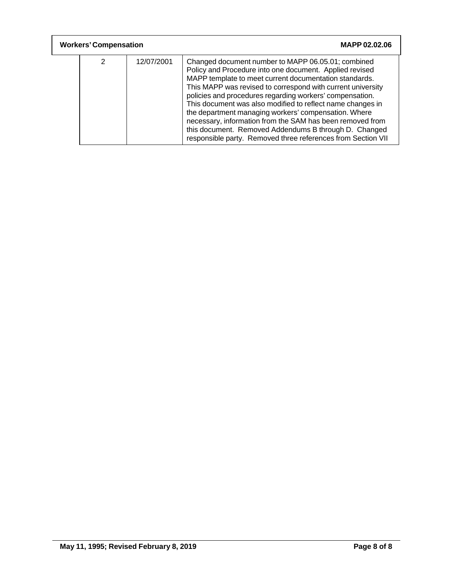| <b>Workers' Compensation</b> |   |            | MAPP 02.02.06                                                                                                                                                                                                                                                                                                                                                                                                                                                                                                                                                                                                  |
|------------------------------|---|------------|----------------------------------------------------------------------------------------------------------------------------------------------------------------------------------------------------------------------------------------------------------------------------------------------------------------------------------------------------------------------------------------------------------------------------------------------------------------------------------------------------------------------------------------------------------------------------------------------------------------|
|                              | 2 | 12/07/2001 | Changed document number to MAPP 06.05.01; combined<br>Policy and Procedure into one document. Applied revised<br>MAPP template to meet current documentation standards.<br>This MAPP was revised to correspond with current university<br>policies and procedures regarding workers' compensation.<br>This document was also modified to reflect name changes in<br>the department managing workers' compensation. Where<br>necessary, information from the SAM has been removed from<br>this document. Removed Addendums B through D. Changed<br>responsible party. Removed three references from Section VII |